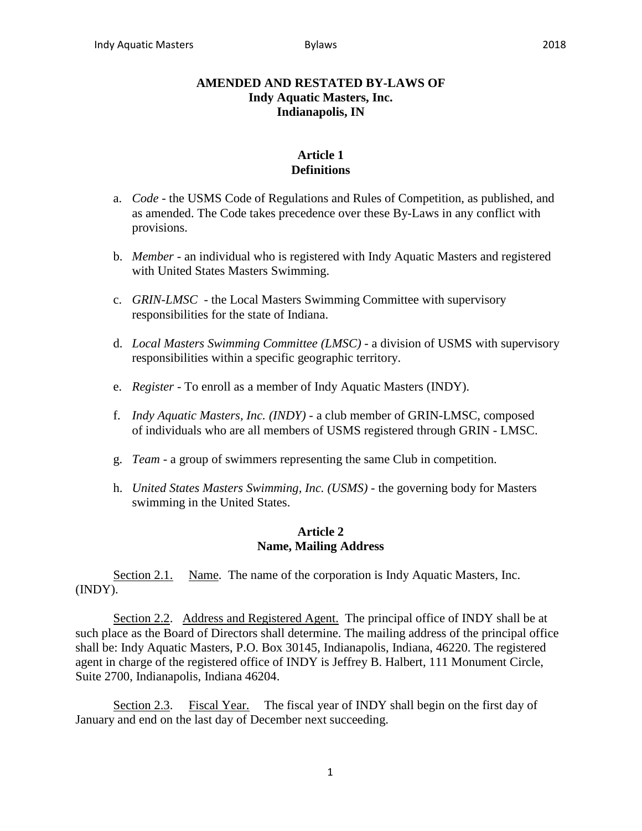## **AMENDED AND RESTATED BY-LAWS OF Indy Aquatic Masters, Inc. Indianapolis, IN**

## **Article 1 Definitions**

- a. *Code* the USMS Code of Regulations and Rules of Competition, as published, and as amended. The Code takes precedence over these By-Laws in any conflict with provisions.
- b. *Member* an individual who is registered with Indy Aquatic Masters and registered with United States Masters Swimming.
- c. *GRIN-LMSC* the Local Masters Swimming Committee with supervisory responsibilities for the state of Indiana.
- d. *Local Masters Swimming Committee (LMSC)* a division of USMS with supervisory responsibilities within a specific geographic territory.
- e. *Register* To enroll as a member of Indy Aquatic Masters (INDY).
- f. *Indy Aquatic Masters, Inc. (INDY)* a club member of GRIN-LMSC, composed of individuals who are all members of USMS registered through GRIN - LMSC.
- g. *Team*  a group of swimmers representing the same Club in competition.
- h. *United States Masters Swimming, Inc. (USMS)* the governing body for Masters swimming in the United States.

## **Article 2 Name, Mailing Address**

Section 2.1. Name. The name of the corporation is Indy Aquatic Masters, Inc. (INDY).

Section 2.2. Address and Registered Agent. The principal office of INDY shall be at such place as the Board of Directors shall determine. The mailing address of the principal office shall be: Indy Aquatic Masters, P.O. Box 30145, Indianapolis, Indiana, 46220. The registered agent in charge of the registered office of INDY is Jeffrey B. Halbert, 111 Monument Circle, Suite 2700, Indianapolis, Indiana 46204.

Section 2.3. Fiscal Year. The fiscal year of INDY shall begin on the first day of January and end on the last day of December next succeeding.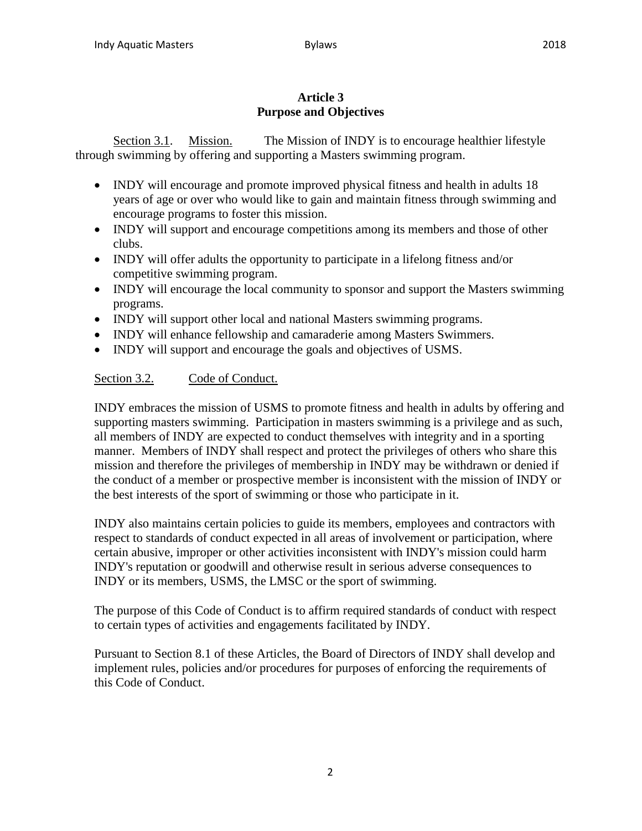# **Article 3 Purpose and Objectives**

Section 3.1. Mission. The Mission of INDY is to encourage healthier lifestyle through swimming by offering and supporting a Masters swimming program.

- INDY will encourage and promote improved physical fitness and health in adults 18 years of age or over who would like to gain and maintain fitness through swimming and encourage programs to foster this mission.
- INDY will support and encourage competitions among its members and those of other clubs.
- INDY will offer adults the opportunity to participate in a lifelong fitness and/or competitive swimming program.
- INDY will encourage the local community to sponsor and support the Masters swimming programs.
- INDY will support other local and national Masters swimming programs.
- INDY will enhance fellowship and camaraderie among Masters Swimmers.
- INDY will support and encourage the goals and objectives of USMS.

# Section 3.2. Code of Conduct.

INDY embraces the mission of USMS to promote fitness and health in adults by offering and supporting masters swimming. Participation in masters swimming is a privilege and as such, all members of INDY are expected to conduct themselves with integrity and in a sporting manner. Members of INDY shall respect and protect the privileges of others who share this mission and therefore the privileges of membership in INDY may be withdrawn or denied if the conduct of a member or prospective member is inconsistent with the mission of INDY or the best interests of the sport of swimming or those who participate in it.

INDY also maintains certain policies to guide its members, employees and contractors with respect to standards of conduct expected in all areas of involvement or participation, where certain abusive, improper or other activities inconsistent with INDY's mission could harm INDY's reputation or goodwill and otherwise result in serious adverse consequences to INDY or its members, USMS, the LMSC or the sport of swimming.

The purpose of this Code of Conduct is to affirm required standards of conduct with respect to certain types of activities and engagements facilitated by INDY.

Pursuant to Section 8.1 of these Articles, the Board of Directors of INDY shall develop and implement rules, policies and/or procedures for purposes of enforcing the requirements of this Code of Conduct.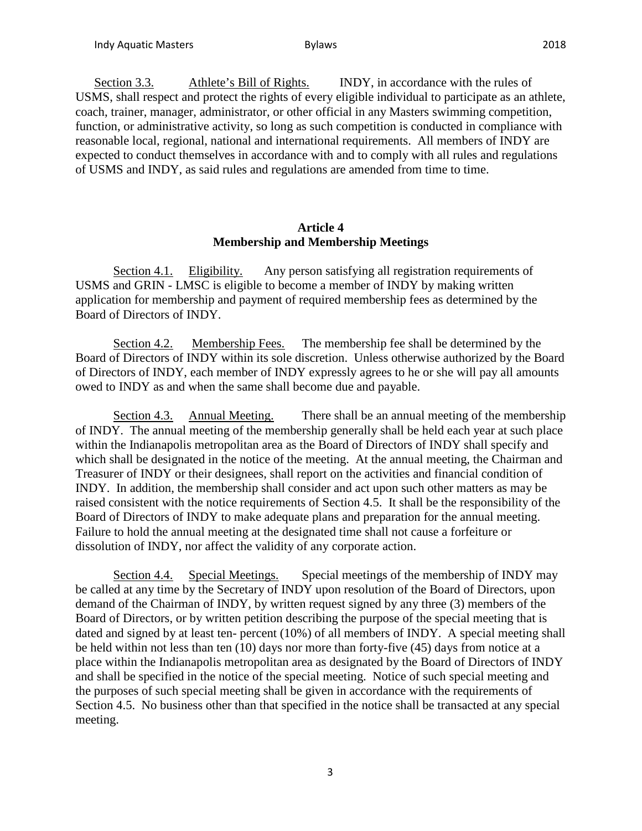Section 3.3. Athlete's Bill of Rights. INDY, in accordance with the rules of USMS, shall respect and protect the rights of every eligible individual to participate as an athlete, coach, trainer, manager, administrator, or other official in any Masters swimming competition, function, or administrative activity, so long as such competition is conducted in compliance with reasonable local, regional, national and international requirements. All members of INDY are expected to conduct themselves in accordance with and to comply with all rules and regulations of USMS and INDY, as said rules and regulations are amended from time to time.

### **Article 4 Membership and Membership Meetings**

Section 4.1. Eligibility. Any person satisfying all registration requirements of USMS and GRIN - LMSC is eligible to become a member of INDY by making written application for membership and payment of required membership fees as determined by the Board of Directors of INDY.

Section 4.2. Membership Fees. The membership fee shall be determined by the Board of Directors of INDY within its sole discretion. Unless otherwise authorized by the Board of Directors of INDY, each member of INDY expressly agrees to he or she will pay all amounts owed to INDY as and when the same shall become due and payable.

Section 4.3. Annual Meeting. There shall be an annual meeting of the membership of INDY. The annual meeting of the membership generally shall be held each year at such place within the Indianapolis metropolitan area as the Board of Directors of INDY shall specify and which shall be designated in the notice of the meeting. At the annual meeting, the Chairman and Treasurer of INDY or their designees, shall report on the activities and financial condition of INDY. In addition, the membership shall consider and act upon such other matters as may be raised consistent with the notice requirements of Section 4.5. It shall be the responsibility of the Board of Directors of INDY to make adequate plans and preparation for the annual meeting. Failure to hold the annual meeting at the designated time shall not cause a forfeiture or dissolution of INDY, nor affect the validity of any corporate action.

Section 4.4. Special Meetings. Special meetings of the membership of INDY may be called at any time by the Secretary of INDY upon resolution of the Board of Directors, upon demand of the Chairman of INDY, by written request signed by any three (3) members of the Board of Directors, or by written petition describing the purpose of the special meeting that is dated and signed by at least ten- percent (10%) of all members of INDY. A special meeting shall be held within not less than ten (10) days nor more than forty-five (45) days from notice at a place within the Indianapolis metropolitan area as designated by the Board of Directors of INDY and shall be specified in the notice of the special meeting. Notice of such special meeting and the purposes of such special meeting shall be given in accordance with the requirements of Section 4.5. No business other than that specified in the notice shall be transacted at any special meeting.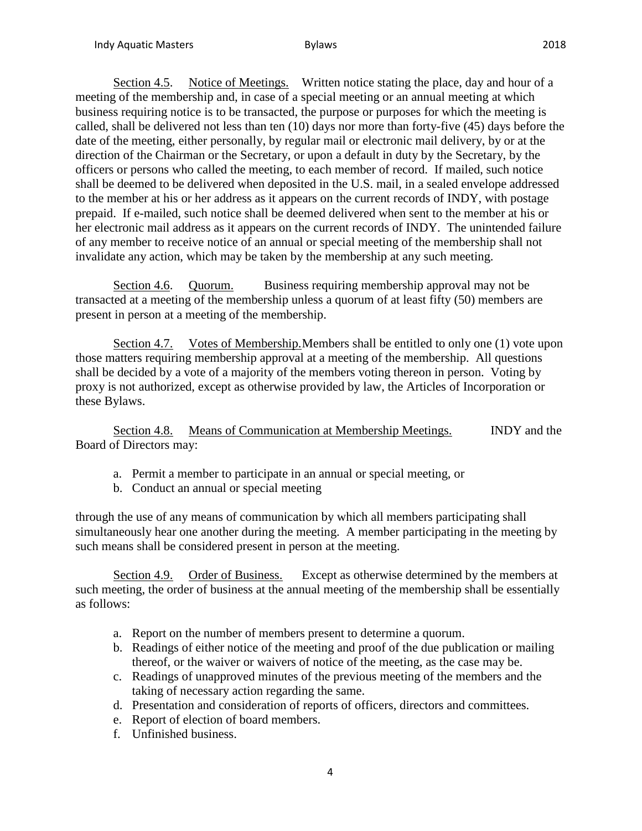Section 4.5. Notice of Meetings. Written notice stating the place, day and hour of a meeting of the membership and, in case of a special meeting or an annual meeting at which business requiring notice is to be transacted, the purpose or purposes for which the meeting is called, shall be delivered not less than ten (10) days nor more than forty-five (45) days before the date of the meeting, either personally, by regular mail or electronic mail delivery, by or at the direction of the Chairman or the Secretary, or upon a default in duty by the Secretary, by the officers or persons who called the meeting, to each member of record. If mailed, such notice shall be deemed to be delivered when deposited in the U.S. mail, in a sealed envelope addressed to the member at his or her address as it appears on the current records of INDY, with postage prepaid. If e-mailed, such notice shall be deemed delivered when sent to the member at his or her electronic mail address as it appears on the current records of INDY. The unintended failure of any member to receive notice of an annual or special meeting of the membership shall not invalidate any action, which may be taken by the membership at any such meeting.

Section 4.6. Quorum. Business requiring membership approval may not be transacted at a meeting of the membership unless a quorum of at least fifty (50) members are present in person at a meeting of the membership.

Section 4.7. Votes of Membership. Members shall be entitled to only one (1) vote upon those matters requiring membership approval at a meeting of the membership. All questions shall be decided by a vote of a majority of the members voting thereon in person. Voting by proxy is not authorized, except as otherwise provided by law, the Articles of Incorporation or these Bylaws.

Section 4.8. Means of Communication at Membership Meetings. INDY and the Board of Directors may:

- a. Permit a member to participate in an annual or special meeting, or
- b. Conduct an annual or special meeting

through the use of any means of communication by which all members participating shall simultaneously hear one another during the meeting. A member participating in the meeting by such means shall be considered present in person at the meeting.

Section 4.9. Order of Business. Except as otherwise determined by the members at such meeting, the order of business at the annual meeting of the membership shall be essentially as follows:

- a. Report on the number of members present to determine a quorum.
- b. Readings of either notice of the meeting and proof of the due publication or mailing thereof, or the waiver or waivers of notice of the meeting, as the case may be.
- c. Readings of unapproved minutes of the previous meeting of the members and the taking of necessary action regarding the same.
- d. Presentation and consideration of reports of officers, directors and committees.
- e. Report of election of board members.
- f. Unfinished business.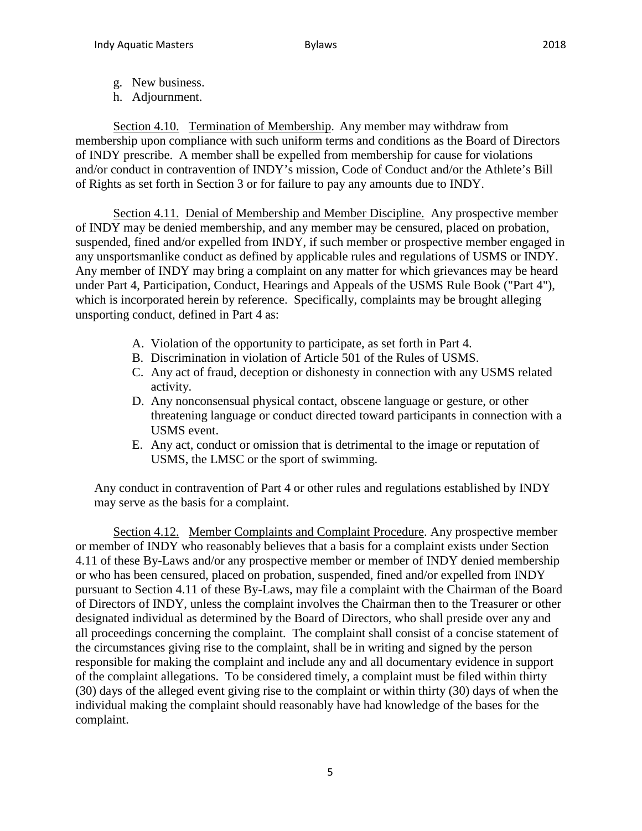- g. New business.
- h. Adjournment.

Section 4.10. Termination of Membership. Any member may withdraw from membership upon compliance with such uniform terms and conditions as the Board of Directors of INDY prescribe. A member shall be expelled from membership for cause for violations and/or conduct in contravention of INDY's mission, Code of Conduct and/or the Athlete's Bill of Rights as set forth in Section 3 or for failure to pay any amounts due to INDY.

Section 4.11. Denial of Membership and Member Discipline. Any prospective member of INDY may be denied membership, and any member may be censured, placed on probation, suspended, fined and/or expelled from INDY, if such member or prospective member engaged in any unsportsmanlike conduct as defined by applicable rules and regulations of USMS or INDY. Any member of INDY may bring a complaint on any matter for which grievances may be heard under Part 4, Participation, Conduct, Hearings and Appeals of the USMS Rule Book ("Part 4"), which is incorporated herein by reference. Specifically, complaints may be brought alleging unsporting conduct, defined in Part 4 as:

- A. Violation of the opportunity to participate, as set forth in Part 4.
- B. Discrimination in violation of Article 501 of the Rules of USMS.
- C. Any act of fraud, deception or dishonesty in connection with any USMS related activity.
- D. Any nonconsensual physical contact, obscene language or gesture, or other threatening language or conduct directed toward participants in connection with a USMS event.
- E. Any act, conduct or omission that is detrimental to the image or reputation of USMS, the LMSC or the sport of swimming.

Any conduct in contravention of Part 4 or other rules and regulations established by INDY may serve as the basis for a complaint.

Section 4.12. Member Complaints and Complaint Procedure. Any prospective member or member of INDY who reasonably believes that a basis for a complaint exists under Section 4.11 of these By-Laws and/or any prospective member or member of INDY denied membership or who has been censured, placed on probation, suspended, fined and/or expelled from INDY pursuant to Section 4.11 of these By-Laws, may file a complaint with the Chairman of the Board of Directors of INDY, unless the complaint involves the Chairman then to the Treasurer or other designated individual as determined by the Board of Directors, who shall preside over any and all proceedings concerning the complaint. The complaint shall consist of a concise statement of the circumstances giving rise to the complaint, shall be in writing and signed by the person responsible for making the complaint and include any and all documentary evidence in support of the complaint allegations. To be considered timely, a complaint must be filed within thirty (30) days of the alleged event giving rise to the complaint or within thirty (30) days of when the individual making the complaint should reasonably have had knowledge of the bases for the complaint.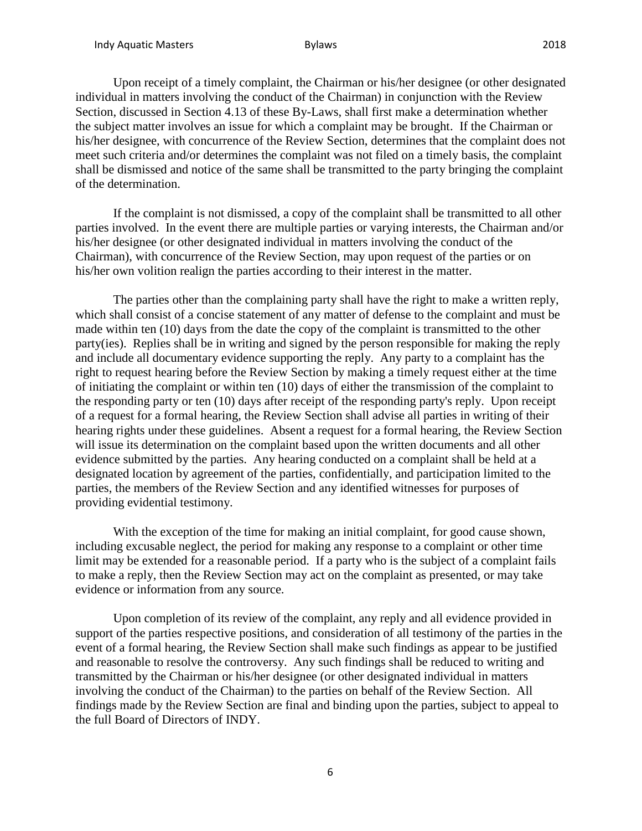Upon receipt of a timely complaint, the Chairman or his/her designee (or other designated individual in matters involving the conduct of the Chairman) in conjunction with the Review Section, discussed in Section 4.13 of these By-Laws, shall first make a determination whether the subject matter involves an issue for which a complaint may be brought. If the Chairman or his/her designee, with concurrence of the Review Section, determines that the complaint does not meet such criteria and/or determines the complaint was not filed on a timely basis, the complaint shall be dismissed and notice of the same shall be transmitted to the party bringing the complaint of the determination.

If the complaint is not dismissed, a copy of the complaint shall be transmitted to all other parties involved. In the event there are multiple parties or varying interests, the Chairman and/or his/her designee (or other designated individual in matters involving the conduct of the Chairman), with concurrence of the Review Section, may upon request of the parties or on his/her own volition realign the parties according to their interest in the matter.

The parties other than the complaining party shall have the right to make a written reply, which shall consist of a concise statement of any matter of defense to the complaint and must be made within ten (10) days from the date the copy of the complaint is transmitted to the other party(ies). Replies shall be in writing and signed by the person responsible for making the reply and include all documentary evidence supporting the reply. Any party to a complaint has the right to request hearing before the Review Section by making a timely request either at the time of initiating the complaint or within ten (10) days of either the transmission of the complaint to the responding party or ten (10) days after receipt of the responding party's reply. Upon receipt of a request for a formal hearing, the Review Section shall advise all parties in writing of their hearing rights under these guidelines. Absent a request for a formal hearing, the Review Section will issue its determination on the complaint based upon the written documents and all other evidence submitted by the parties. Any hearing conducted on a complaint shall be held at a designated location by agreement of the parties, confidentially, and participation limited to the parties, the members of the Review Section and any identified witnesses for purposes of providing evidential testimony.

With the exception of the time for making an initial complaint, for good cause shown, including excusable neglect, the period for making any response to a complaint or other time limit may be extended for a reasonable period. If a party who is the subject of a complaint fails to make a reply, then the Review Section may act on the complaint as presented, or may take evidence or information from any source.

Upon completion of its review of the complaint, any reply and all evidence provided in support of the parties respective positions, and consideration of all testimony of the parties in the event of a formal hearing, the Review Section shall make such findings as appear to be justified and reasonable to resolve the controversy. Any such findings shall be reduced to writing and transmitted by the Chairman or his/her designee (or other designated individual in matters involving the conduct of the Chairman) to the parties on behalf of the Review Section. All findings made by the Review Section are final and binding upon the parties, subject to appeal to the full Board of Directors of INDY.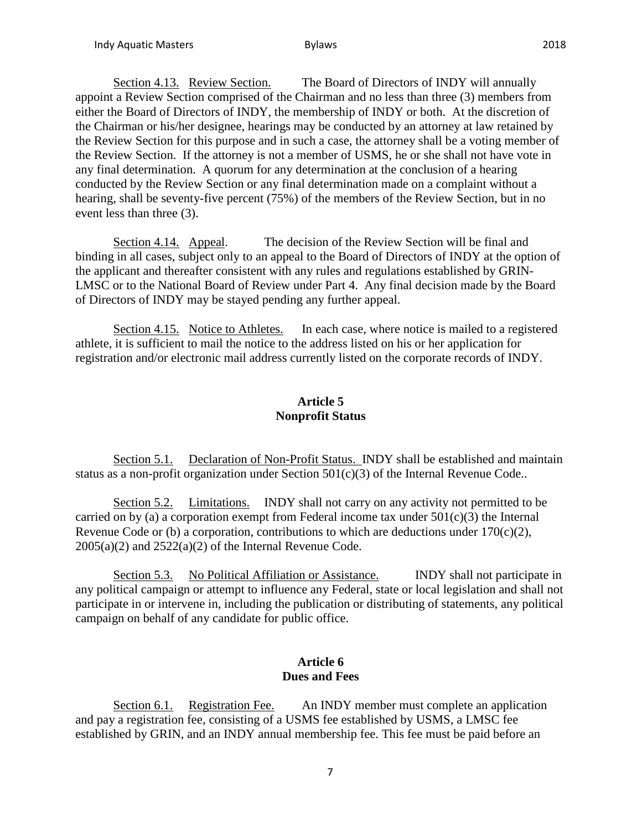Section 4.13. Review Section. The Board of Directors of INDY will annually appoint a Review Section comprised of the Chairman and no less than three (3) members from either the Board of Directors of INDY, the membership of INDY or both. At the discretion of the Chairman or his/her designee, hearings may be conducted by an attorney at law retained by the Review Section for this purpose and in such a case, the attorney shall be a voting member of the Review Section. If the attorney is not a member of USMS, he or she shall not have vote in any final determination. A quorum for any determination at the conclusion of a hearing conducted by the Review Section or any final determination made on a complaint without a hearing, shall be seventy-five percent (75%) of the members of the Review Section, but in no event less than three (3).

Section 4.14. Appeal. The decision of the Review Section will be final and binding in all cases, subject only to an appeal to the Board of Directors of INDY at the option of the applicant and thereafter consistent with any rules and regulations established by GRIN-LMSC or to the National Board of Review under Part 4. Any final decision made by the Board of Directors of INDY may be stayed pending any further appeal.

Section 4.15. Notice to Athletes. In each case, where notice is mailed to a registered athlete, it is sufficient to mail the notice to the address listed on his or her application for registration and/or electronic mail address currently listed on the corporate records of INDY.

## **Article 5 Nonprofit Status**

Section 5.1. Declaration of Non-Profit Status. INDY shall be established and maintain status as a non-profit organization under Section 501(c)(3) of the Internal Revenue Code..

Section 5.2. Limitations. INDY shall not carry on any activity not permitted to be carried on by (a) a corporation exempt from Federal income tax under  $501(c)(3)$  the Internal Revenue Code or (b) a corporation, contributions to which are deductions under  $170(c)(2)$ ,  $2005(a)(2)$  and  $2522(a)(2)$  of the Internal Revenue Code.

Section 5.3. No Political Affiliation or Assistance. INDY shall not participate in any political campaign or attempt to influence any Federal, state or local legislation and shall not participate in or intervene in, including the publication or distributing of statements, any political campaign on behalf of any candidate for public office.

### **Article 6 Dues and Fees**

Section 6.1. Registration Fee. An INDY member must complete an application and pay a registration fee, consisting of a USMS fee established by USMS, a LMSC fee established by GRIN, and an INDY annual membership fee. This fee must be paid before an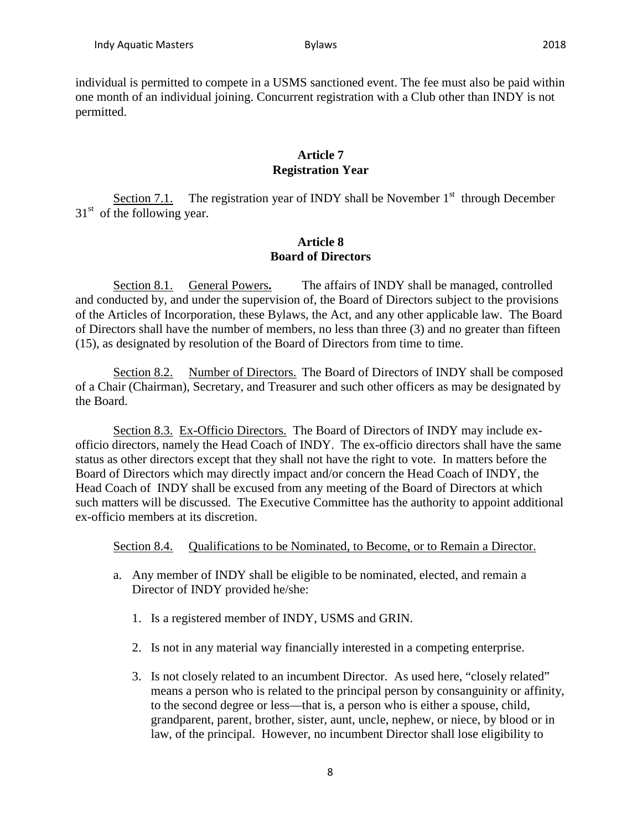## **Article 7 Registration Year**

Section 7.1. The registration year of INDY shall be November  $1<sup>st</sup>$  through December  $31<sup>st</sup>$  of the following year.

## **Article 8 Board of Directors**

Section 8.1. General Powers**.** The affairs of INDY shall be managed, controlled and conducted by, and under the supervision of, the Board of Directors subject to the provisions of the Articles of Incorporation, these Bylaws, the Act, and any other applicable law. The Board of Directors shall have the number of members, no less than three (3) and no greater than fifteen (15), as designated by resolution of the Board of Directors from time to time.

Section 8.2. Number of Directors. The Board of Directors of INDY shall be composed of a Chair (Chairman), Secretary, and Treasurer and such other officers as may be designated by the Board.

Section 8.3. Ex-Officio Directors. The Board of Directors of INDY may include exofficio directors, namely the Head Coach of INDY. The ex-officio directors shall have the same status as other directors except that they shall not have the right to vote. In matters before the Board of Directors which may directly impact and/or concern the Head Coach of INDY, the Head Coach of INDY shall be excused from any meeting of the Board of Directors at which such matters will be discussed. The Executive Committee has the authority to appoint additional ex-officio members at its discretion.

Section 8.4. Qualifications to be Nominated, to Become, or to Remain a Director.

- a. Any member of INDY shall be eligible to be nominated, elected, and remain a Director of INDY provided he/she:
	- 1. Is a registered member of INDY, USMS and GRIN.
	- 2. Is not in any material way financially interested in a competing enterprise.
	- 3. Is not closely related to an incumbent Director. As used here, "closely related" means a person who is related to the principal person by consanguinity or affinity, to the second degree or less—that is, a person who is either a spouse, child, grandparent, parent, brother, sister, aunt, uncle, nephew, or niece, by blood or in law, of the principal. However, no incumbent Director shall lose eligibility to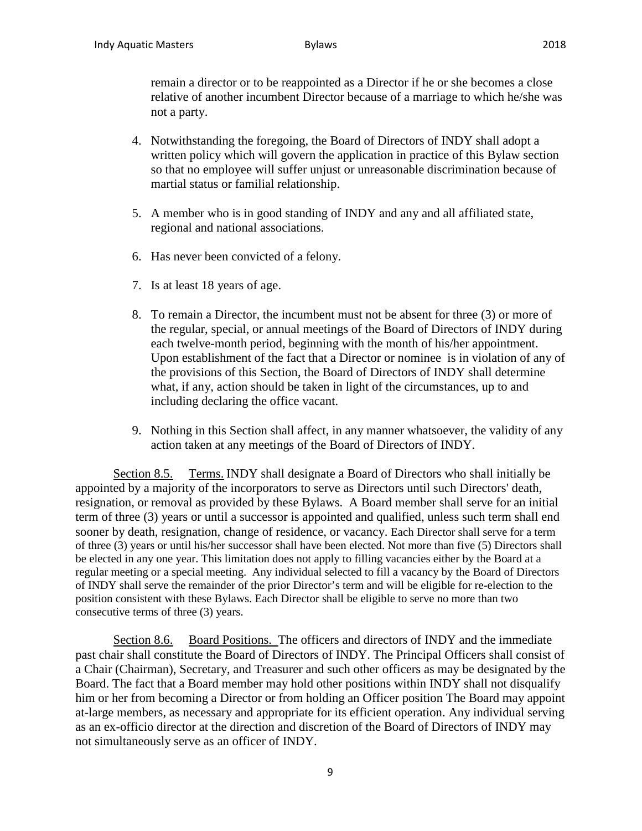remain a director or to be reappointed as a Director if he or she becomes a close relative of another incumbent Director because of a marriage to which he/she was not a party.

- 4. Notwithstanding the foregoing, the Board of Directors of INDY shall adopt a written policy which will govern the application in practice of this Bylaw section so that no employee will suffer unjust or unreasonable discrimination because of martial status or familial relationship.
- 5. A member who is in good standing of INDY and any and all affiliated state, regional and national associations.
- 6. Has never been convicted of a felony.
- 7. Is at least 18 years of age.
- 8. To remain a Director, the incumbent must not be absent for three (3) or more of the regular, special, or annual meetings of the Board of Directors of INDY during each twelve-month period, beginning with the month of his/her appointment. Upon establishment of the fact that a Director or nominee is in violation of any of the provisions of this Section, the Board of Directors of INDY shall determine what, if any, action should be taken in light of the circumstances, up to and including declaring the office vacant.
- 9. Nothing in this Section shall affect, in any manner whatsoever, the validity of any action taken at any meetings of the Board of Directors of INDY.

Section 8.5. Terms. INDY shall designate a Board of Directors who shall initially be appointed by a majority of the incorporators to serve as Directors until such Directors' death, resignation, or removal as provided by these Bylaws. A Board member shall serve for an initial term of three (3) years or until a successor is appointed and qualified, unless such term shall end sooner by death, resignation, change of residence, or vacancy. Each Director shall serve for a term of three (3) years or until his/her successor shall have been elected. Not more than five (5) Directors shall be elected in any one year. This limitation does not apply to filling vacancies either by the Board at a regular meeting or a special meeting. Any individual selected to fill a vacancy by the Board of Directors of INDY shall serve the remainder of the prior Director's term and will be eligible for re-election to the position consistent with these Bylaws. Each Director shall be eligible to serve no more than two consecutive terms of three (3) years.

Section 8.6. Board Positions. The officers and directors of INDY and the immediate past chair shall constitute the Board of Directors of INDY. The Principal Officers shall consist of a Chair (Chairman), Secretary, and Treasurer and such other officers as may be designated by the Board. The fact that a Board member may hold other positions within INDY shall not disqualify him or her from becoming a Director or from holding an Officer position The Board may appoint at-large members, as necessary and appropriate for its efficient operation. Any individual serving as an ex-officio director at the direction and discretion of the Board of Directors of INDY may not simultaneously serve as an officer of INDY.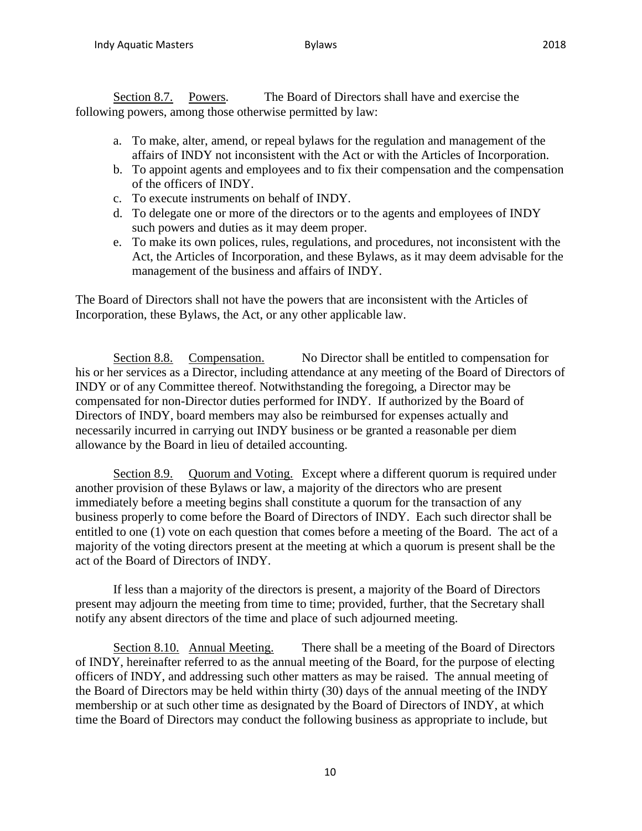Section 8.7. Powers. The Board of Directors shall have and exercise the following powers, among those otherwise permitted by law:

- a. To make, alter, amend, or repeal bylaws for the regulation and management of the affairs of INDY not inconsistent with the Act or with the Articles of Incorporation.
- b. To appoint agents and employees and to fix their compensation and the compensation of the officers of INDY.
- c. To execute instruments on behalf of INDY.
- d. To delegate one or more of the directors or to the agents and employees of INDY such powers and duties as it may deem proper.
- e. To make its own polices, rules, regulations, and procedures, not inconsistent with the Act, the Articles of Incorporation, and these Bylaws, as it may deem advisable for the management of the business and affairs of INDY.

The Board of Directors shall not have the powers that are inconsistent with the Articles of Incorporation, these Bylaws, the Act, or any other applicable law.

Section 8.8. Compensation. No Director shall be entitled to compensation for his or her services as a Director, including attendance at any meeting of the Board of Directors of INDY or of any Committee thereof. Notwithstanding the foregoing, a Director may be compensated for non-Director duties performed for INDY. If authorized by the Board of Directors of INDY, board members may also be reimbursed for expenses actually and necessarily incurred in carrying out INDY business or be granted a reasonable per diem allowance by the Board in lieu of detailed accounting.

Section 8.9. Quorum and Voting. Except where a different quorum is required under another provision of these Bylaws or law, a majority of the directors who are present immediately before a meeting begins shall constitute a quorum for the transaction of any business properly to come before the Board of Directors of INDY. Each such director shall be entitled to one (1) vote on each question that comes before a meeting of the Board. The act of a majority of the voting directors present at the meeting at which a quorum is present shall be the act of the Board of Directors of INDY.

If less than a majority of the directors is present, a majority of the Board of Directors present may adjourn the meeting from time to time; provided, further, that the Secretary shall notify any absent directors of the time and place of such adjourned meeting.

Section 8.10. Annual Meeting. There shall be a meeting of the Board of Directors of INDY, hereinafter referred to as the annual meeting of the Board, for the purpose of electing officers of INDY, and addressing such other matters as may be raised. The annual meeting of the Board of Directors may be held within thirty (30) days of the annual meeting of the INDY membership or at such other time as designated by the Board of Directors of INDY, at which time the Board of Directors may conduct the following business as appropriate to include, but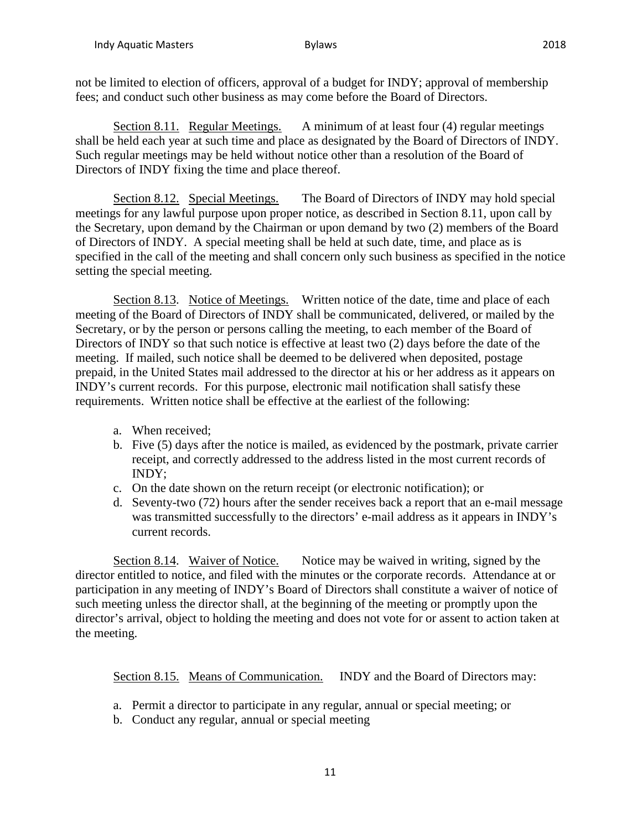not be limited to election of officers, approval of a budget for INDY; approval of membership fees; and conduct such other business as may come before the Board of Directors.

Section 8.11. Regular Meetings. A minimum of at least four (4) regular meetings shall be held each year at such time and place as designated by the Board of Directors of INDY. Such regular meetings may be held without notice other than a resolution of the Board of Directors of INDY fixing the time and place thereof.

Section 8.12. Special Meetings. The Board of Directors of INDY may hold special meetings for any lawful purpose upon proper notice, as described in Section 8.11, upon call by the Secretary, upon demand by the Chairman or upon demand by two (2) members of the Board of Directors of INDY. A special meeting shall be held at such date, time, and place as is specified in the call of the meeting and shall concern only such business as specified in the notice setting the special meeting.

Section 8.13. Notice of Meetings. Written notice of the date, time and place of each meeting of the Board of Directors of INDY shall be communicated, delivered, or mailed by the Secretary, or by the person or persons calling the meeting, to each member of the Board of Directors of INDY so that such notice is effective at least two (2) days before the date of the meeting. If mailed, such notice shall be deemed to be delivered when deposited, postage prepaid, in the United States mail addressed to the director at his or her address as it appears on INDY's current records. For this purpose, electronic mail notification shall satisfy these requirements. Written notice shall be effective at the earliest of the following:

- a. When received;
- b. Five (5) days after the notice is mailed, as evidenced by the postmark, private carrier receipt, and correctly addressed to the address listed in the most current records of INDY;
- c. On the date shown on the return receipt (or electronic notification); or
- d. Seventy-two (72) hours after the sender receives back a report that an e-mail message was transmitted successfully to the directors' e-mail address as it appears in INDY's current records.

Section 8.14. Waiver of Notice. Notice may be waived in writing, signed by the director entitled to notice, and filed with the minutes or the corporate records. Attendance at or participation in any meeting of INDY's Board of Directors shall constitute a waiver of notice of such meeting unless the director shall, at the beginning of the meeting or promptly upon the director's arrival, object to holding the meeting and does not vote for or assent to action taken at the meeting.

Section 8.15. Means of Communication. INDY and the Board of Directors may:

- a. Permit a director to participate in any regular, annual or special meeting; or
- b. Conduct any regular, annual or special meeting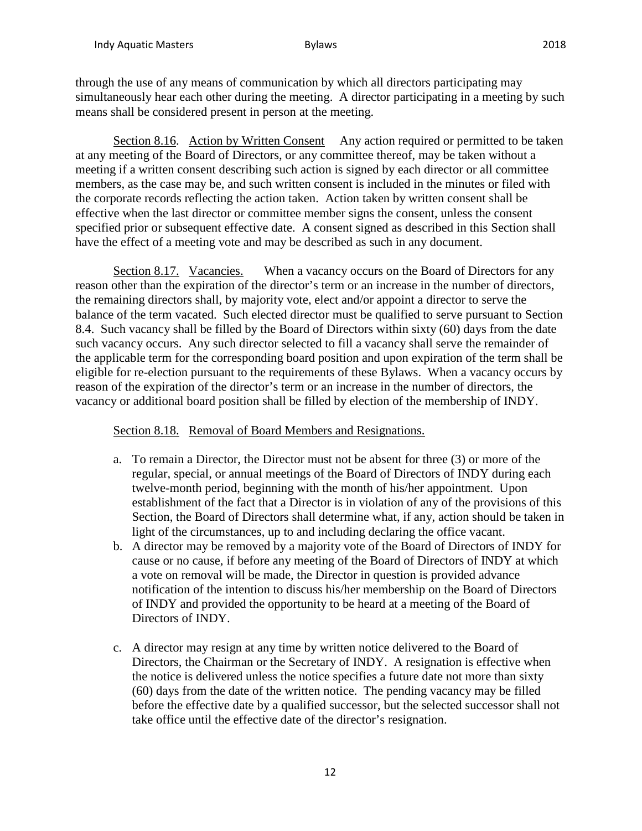through the use of any means of communication by which all directors participating may simultaneously hear each other during the meeting. A director participating in a meeting by such means shall be considered present in person at the meeting.

Section 8.16. Action by Written Consent Any action required or permitted to be taken at any meeting of the Board of Directors, or any committee thereof, may be taken without a meeting if a written consent describing such action is signed by each director or all committee members, as the case may be, and such written consent is included in the minutes or filed with the corporate records reflecting the action taken. Action taken by written consent shall be effective when the last director or committee member signs the consent, unless the consent specified prior or subsequent effective date. A consent signed as described in this Section shall have the effect of a meeting vote and may be described as such in any document.

Section 8.17. Vacancies. When a vacancy occurs on the Board of Directors for any reason other than the expiration of the director's term or an increase in the number of directors, the remaining directors shall, by majority vote, elect and/or appoint a director to serve the balance of the term vacated. Such elected director must be qualified to serve pursuant to Section 8.4. Such vacancy shall be filled by the Board of Directors within sixty (60) days from the date such vacancy occurs. Any such director selected to fill a vacancy shall serve the remainder of the applicable term for the corresponding board position and upon expiration of the term shall be eligible for re-election pursuant to the requirements of these Bylaws. When a vacancy occurs by reason of the expiration of the director's term or an increase in the number of directors, the vacancy or additional board position shall be filled by election of the membership of INDY.

#### Section 8.18. Removal of Board Members and Resignations.

- a. To remain a Director, the Director must not be absent for three (3) or more of the regular, special, or annual meetings of the Board of Directors of INDY during each twelve-month period, beginning with the month of his/her appointment. Upon establishment of the fact that a Director is in violation of any of the provisions of this Section, the Board of Directors shall determine what, if any, action should be taken in light of the circumstances, up to and including declaring the office vacant.
- b. A director may be removed by a majority vote of the Board of Directors of INDY for cause or no cause, if before any meeting of the Board of Directors of INDY at which a vote on removal will be made, the Director in question is provided advance notification of the intention to discuss his/her membership on the Board of Directors of INDY and provided the opportunity to be heard at a meeting of the Board of Directors of INDY.
- c. A director may resign at any time by written notice delivered to the Board of Directors, the Chairman or the Secretary of INDY. A resignation is effective when the notice is delivered unless the notice specifies a future date not more than sixty (60) days from the date of the written notice. The pending vacancy may be filled before the effective date by a qualified successor, but the selected successor shall not take office until the effective date of the director's resignation.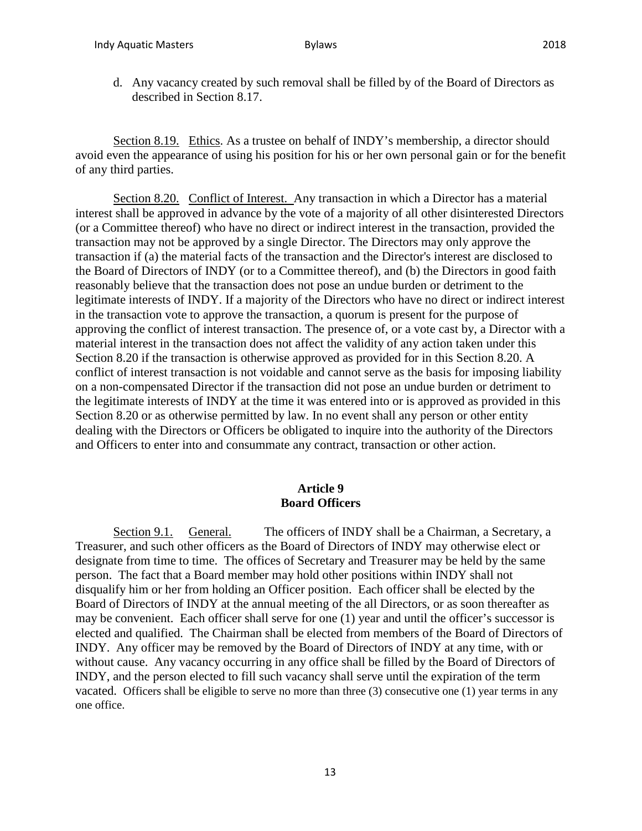d. Any vacancy created by such removal shall be filled by of the Board of Directors as described in Section 8.17.

Section 8.19. Ethics. As a trustee on behalf of INDY's membership, a director should avoid even the appearance of using his position for his or her own personal gain or for the benefit of any third parties.

Section 8.20. Conflict of Interest. Any transaction in which a Director has a material interest shall be approved in advance by the vote of a majority of all other disinterested Directors (or a Committee thereof) who have no direct or indirect interest in the transaction, provided the transaction may not be approved by a single Director. The Directors may only approve the transaction if (a) the material facts of the transaction and the Director's interest are disclosed to the Board of Directors of INDY (or to a Committee thereof), and (b) the Directors in good faith reasonably believe that the transaction does not pose an undue burden or detriment to the legitimate interests of INDY. If a majority of the Directors who have no direct or indirect interest in the transaction vote to approve the transaction, a quorum is present for the purpose of approving the conflict of interest transaction. The presence of, or a vote cast by, a Director with a material interest in the transaction does not affect the validity of any action taken under this Section 8.20 if the transaction is otherwise approved as provided for in this Section 8.20. A conflict of interest transaction is not voidable and cannot serve as the basis for imposing liability on a non-compensated Director if the transaction did not pose an undue burden or detriment to the legitimate interests of INDY at the time it was entered into or is approved as provided in this Section 8.20 or as otherwise permitted by law. In no event shall any person or other entity dealing with the Directors or Officers be obligated to inquire into the authority of the Directors and Officers to enter into and consummate any contract, transaction or other action.

#### **Article 9 Board Officers**

Section 9.1. General. The officers of INDY shall be a Chairman, a Secretary, a Treasurer, and such other officers as the Board of Directors of INDY may otherwise elect or designate from time to time. The offices of Secretary and Treasurer may be held by the same person. The fact that a Board member may hold other positions within INDY shall not disqualify him or her from holding an Officer position. Each officer shall be elected by the Board of Directors of INDY at the annual meeting of the all Directors, or as soon thereafter as may be convenient. Each officer shall serve for one (1) year and until the officer's successor is elected and qualified. The Chairman shall be elected from members of the Board of Directors of INDY. Any officer may be removed by the Board of Directors of INDY at any time, with or without cause. Any vacancy occurring in any office shall be filled by the Board of Directors of INDY, and the person elected to fill such vacancy shall serve until the expiration of the term vacated. Officers shall be eligible to serve no more than three (3) consecutive one (1) year terms in any one office.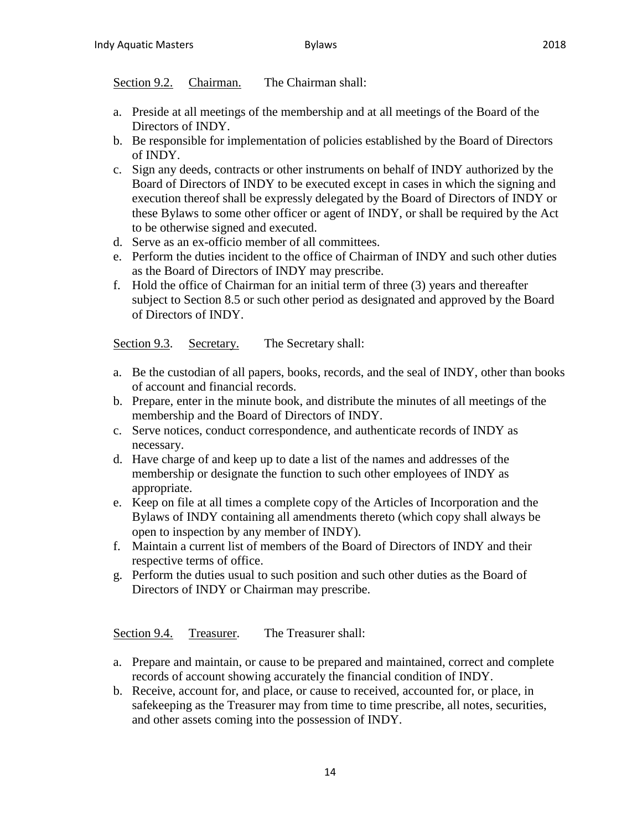## Section 9.2. Chairman. The Chairman shall:

- a. Preside at all meetings of the membership and at all meetings of the Board of the Directors of INDY.
- b. Be responsible for implementation of policies established by the Board of Directors of INDY.
- c. Sign any deeds, contracts or other instruments on behalf of INDY authorized by the Board of Directors of INDY to be executed except in cases in which the signing and execution thereof shall be expressly delegated by the Board of Directors of INDY or these Bylaws to some other officer or agent of INDY, or shall be required by the Act to be otherwise signed and executed.
- d. Serve as an ex-officio member of all committees.
- e. Perform the duties incident to the office of Chairman of INDY and such other duties as the Board of Directors of INDY may prescribe.
- f. Hold the office of Chairman for an initial term of three (3) years and thereafter subject to Section 8.5 or such other period as designated and approved by the Board of Directors of INDY.

Section 9.3. Secretary. The Secretary shall:

- a. Be the custodian of all papers, books, records, and the seal of INDY, other than books of account and financial records.
- b. Prepare, enter in the minute book, and distribute the minutes of all meetings of the membership and the Board of Directors of INDY.
- c. Serve notices, conduct correspondence, and authenticate records of INDY as necessary.
- d. Have charge of and keep up to date a list of the names and addresses of the membership or designate the function to such other employees of INDY as appropriate.
- e. Keep on file at all times a complete copy of the Articles of Incorporation and the Bylaws of INDY containing all amendments thereto (which copy shall always be open to inspection by any member of INDY).
- f. Maintain a current list of members of the Board of Directors of INDY and their respective terms of office.
- g. Perform the duties usual to such position and such other duties as the Board of Directors of INDY or Chairman may prescribe.

Section 9.4. Treasurer. The Treasurer shall:

- a. Prepare and maintain, or cause to be prepared and maintained, correct and complete records of account showing accurately the financial condition of INDY.
- b. Receive, account for, and place, or cause to received, accounted for, or place, in safekeeping as the Treasurer may from time to time prescribe, all notes, securities, and other assets coming into the possession of INDY.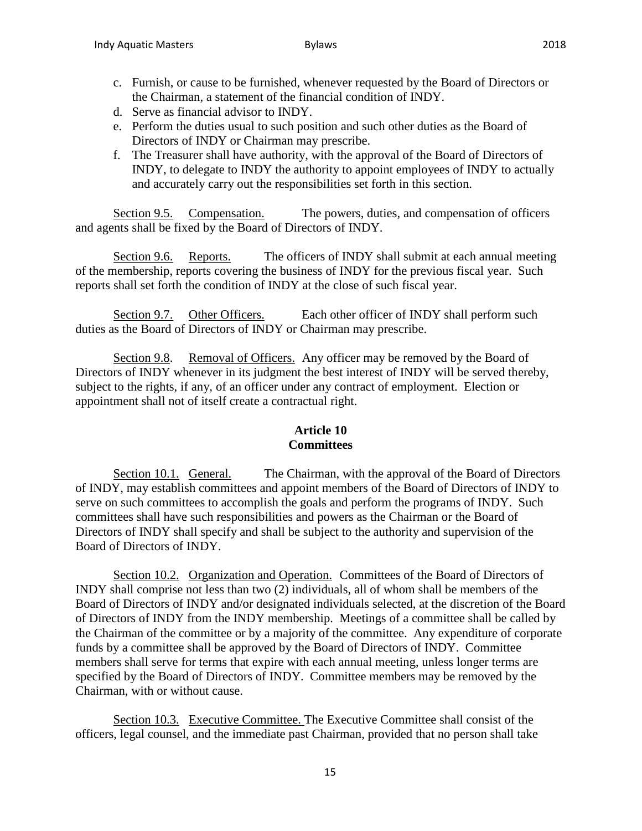- 
- c. Furnish, or cause to be furnished, whenever requested by the Board of Directors or the Chairman, a statement of the financial condition of INDY.
- d. Serve as financial advisor to INDY.
- e. Perform the duties usual to such position and such other duties as the Board of Directors of INDY or Chairman may prescribe.
- f. The Treasurer shall have authority, with the approval of the Board of Directors of INDY, to delegate to INDY the authority to appoint employees of INDY to actually and accurately carry out the responsibilities set forth in this section.

Section 9.5. Compensation. The powers, duties, and compensation of officers and agents shall be fixed by the Board of Directors of INDY.

Section 9.6. Reports. The officers of INDY shall submit at each annual meeting of the membership, reports covering the business of INDY for the previous fiscal year. Such reports shall set forth the condition of INDY at the close of such fiscal year.

Section 9.7. Other Officers. Each other officer of INDY shall perform such duties as the Board of Directors of INDY or Chairman may prescribe.

Section 9.8. Removal of Officers. Any officer may be removed by the Board of Directors of INDY whenever in its judgment the best interest of INDY will be served thereby, subject to the rights, if any, of an officer under any contract of employment. Election or appointment shall not of itself create a contractual right.

## **Article 10 Committees**

Section 10.1. General. The Chairman, with the approval of the Board of Directors of INDY, may establish committees and appoint members of the Board of Directors of INDY to serve on such committees to accomplish the goals and perform the programs of INDY. Such committees shall have such responsibilities and powers as the Chairman or the Board of Directors of INDY shall specify and shall be subject to the authority and supervision of the Board of Directors of INDY.

Section 10.2. Organization and Operation. Committees of the Board of Directors of INDY shall comprise not less than two (2) individuals, all of whom shall be members of the Board of Directors of INDY and/or designated individuals selected, at the discretion of the Board of Directors of INDY from the INDY membership. Meetings of a committee shall be called by the Chairman of the committee or by a majority of the committee. Any expenditure of corporate funds by a committee shall be approved by the Board of Directors of INDY. Committee members shall serve for terms that expire with each annual meeting, unless longer terms are specified by the Board of Directors of INDY. Committee members may be removed by the Chairman, with or without cause.

Section 10.3. Executive Committee. The Executive Committee shall consist of the officers, legal counsel, and the immediate past Chairman, provided that no person shall take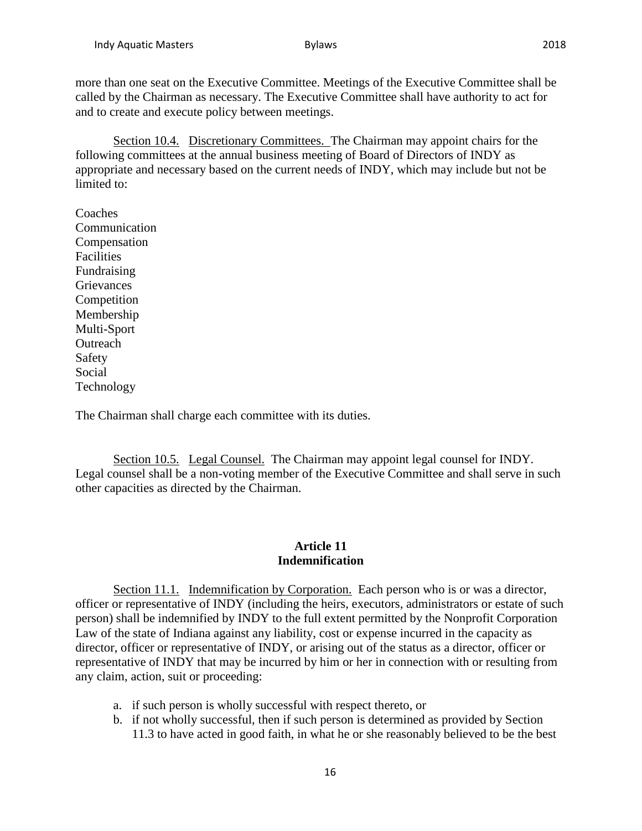more than one seat on the Executive Committee. Meetings of the Executive Committee shall be called by the Chairman as necessary. The Executive Committee shall have authority to act for and to create and execute policy between meetings.

Section 10.4. Discretionary Committees. The Chairman may appoint chairs for the following committees at the annual business meeting of Board of Directors of INDY as appropriate and necessary based on the current needs of INDY, which may include but not be limited to:

Coaches Communication Compensation Facilities Fundraising **Grievances Competition** Membership Multi-Sport **Outreach** Safety Social Technology

The Chairman shall charge each committee with its duties.

Section 10.5. Legal Counsel. The Chairman may appoint legal counsel for INDY. Legal counsel shall be a non-voting member of the Executive Committee and shall serve in such other capacities as directed by the Chairman.

### **Article 11 Indemnification**

Section 11.1. Indemnification by Corporation. Each person who is or was a director, officer or representative of INDY (including the heirs, executors, administrators or estate of such person) shall be indemnified by INDY to the full extent permitted by the Nonprofit Corporation Law of the state of Indiana against any liability, cost or expense incurred in the capacity as director, officer or representative of INDY, or arising out of the status as a director, officer or representative of INDY that may be incurred by him or her in connection with or resulting from any claim, action, suit or proceeding:

- a. if such person is wholly successful with respect thereto, or
- b. if not wholly successful, then if such person is determined as provided by Section 11.3 to have acted in good faith, in what he or she reasonably believed to be the best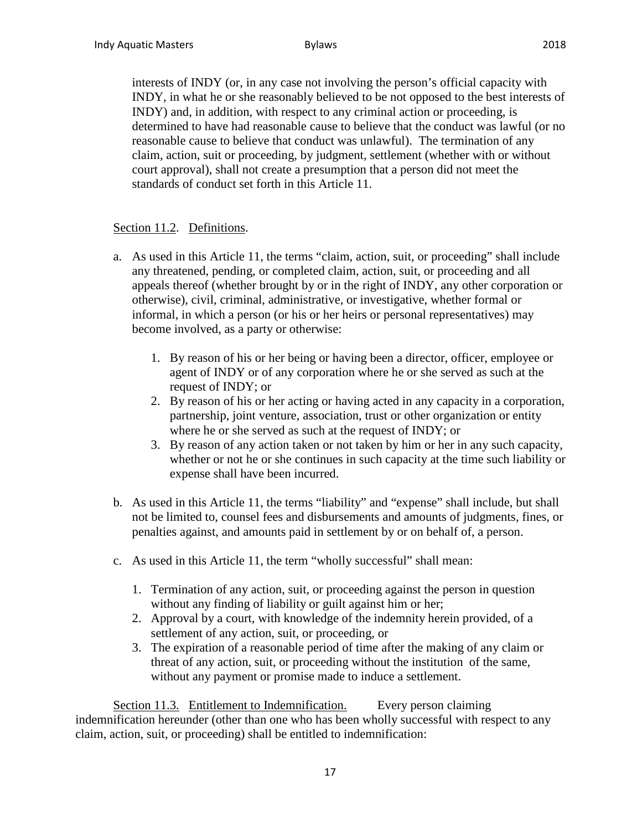interests of INDY (or, in any case not involving the person's official capacity with INDY, in what he or she reasonably believed to be not opposed to the best interests of INDY) and, in addition, with respect to any criminal action or proceeding, is determined to have had reasonable cause to believe that the conduct was lawful (or no reasonable cause to believe that conduct was unlawful). The termination of any claim, action, suit or proceeding, by judgment, settlement (whether with or without court approval), shall not create a presumption that a person did not meet the standards of conduct set forth in this Article 11.

### Section 11.2. Definitions.

- a. As used in this Article 11, the terms "claim, action, suit, or proceeding" shall include any threatened, pending, or completed claim, action, suit, or proceeding and all appeals thereof (whether brought by or in the right of INDY, any other corporation or otherwise), civil, criminal, administrative, or investigative, whether formal or informal, in which a person (or his or her heirs or personal representatives) may become involved, as a party or otherwise:
	- 1. By reason of his or her being or having been a director, officer, employee or agent of INDY or of any corporation where he or she served as such at the request of INDY; or
	- 2. By reason of his or her acting or having acted in any capacity in a corporation, partnership, joint venture, association, trust or other organization or entity where he or she served as such at the request of INDY; or
	- 3. By reason of any action taken or not taken by him or her in any such capacity, whether or not he or she continues in such capacity at the time such liability or expense shall have been incurred.
- b. As used in this Article 11, the terms "liability" and "expense" shall include, but shall not be limited to, counsel fees and disbursements and amounts of judgments, fines, or penalties against, and amounts paid in settlement by or on behalf of, a person.
- c. As used in this Article 11, the term "wholly successful" shall mean:
	- 1. Termination of any action, suit, or proceeding against the person in question without any finding of liability or guilt against him or her;
	- 2. Approval by a court, with knowledge of the indemnity herein provided, of a settlement of any action, suit, or proceeding, or
	- 3. The expiration of a reasonable period of time after the making of any claim or threat of any action, suit, or proceeding without the institution of the same, without any payment or promise made to induce a settlement.

Section 11.3. Entitlement to Indemnification. Every person claiming indemnification hereunder (other than one who has been wholly successful with respect to any claim, action, suit, or proceeding) shall be entitled to indemnification: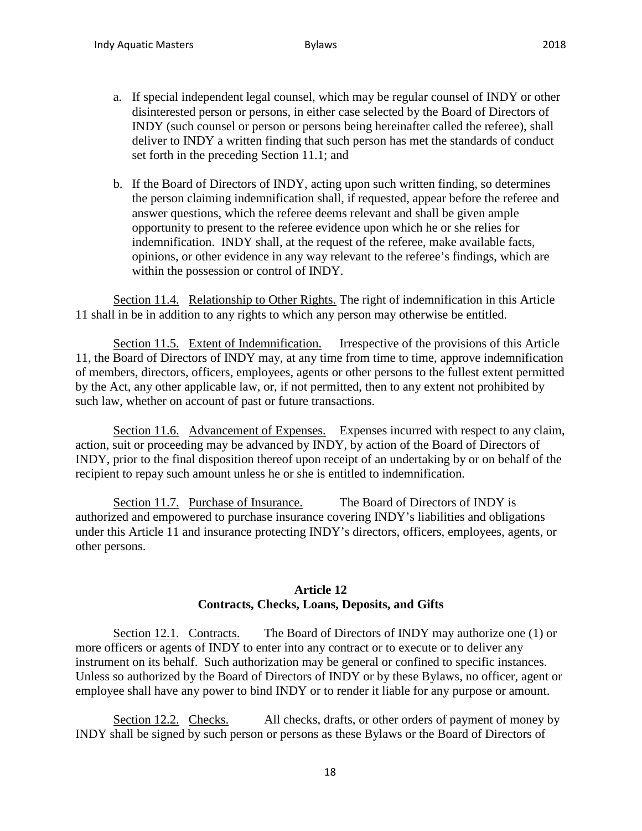- a. If special independent legal counsel, which may be regular counsel of INDY or other disinterested person or persons, in either case selected by the Board of Directors of INDY (such counsel or person or persons being hereinafter called the referee), shall deliver to INDY a written finding that such person has met the standards of conduct set forth in the preceding Section 11.1; and
- b. If the Board of Directors of INDY, acting upon such written finding, so determines the person claiming indemnification shall, if requested, appear before the referee and answer questions, which the referee deems relevant and shall be given ample opportunity to present to the referee evidence upon which he or she relies for indemnification. INDY shall, at the request of the referee, make available facts, opinions, or other evidence in any way relevant to the referee's findings, which are within the possession or control of INDY.

Section 11.4. Relationship to Other Rights. The right of indemnification in this Article 11 shall in be in addition to any rights to which any person may otherwise be entitled.

Section 11.5. Extent of Indemnification. Irrespective of the provisions of this Article 11, the Board of Directors of INDY may, at any time from time to time, approve indemnification of members, directors, officers, employees, agents or other persons to the fullest extent permitted by the Act, any other applicable law, or, if not permitted, then to any extent not prohibited by such law, whether on account of past or future transactions.

Section 11.6. Advancement of Expenses. Expenses incurred with respect to any claim, action, suit or proceeding may be advanced by INDY, by action of the Board of Directors of INDY, prior to the final disposition thereof upon receipt of an undertaking by or on behalf of the recipient to repay such amount unless he or she is entitled to indemnification.

Section 11.7. Purchase of Insurance. The Board of Directors of INDY is authorized and empowered to purchase insurance covering INDY's liabilities and obligations under this Article 11 and insurance protecting INDY's directors, officers, employees, agents, or other persons.

### **Article 12 Contracts, Checks, Loans, Deposits, and Gifts**

Section 12.1. Contracts. The Board of Directors of INDY may authorize one (1) or more officers or agents of INDY to enter into any contract or to execute or to deliver any instrument on its behalf. Such authorization may be general or confined to specific instances. Unless so authorized by the Board of Directors of INDY or by these Bylaws, no officer, agent or employee shall have any power to bind INDY or to render it liable for any purpose or amount.

Section 12.2. Checks. All checks, drafts, or other orders of payment of money by INDY shall be signed by such person or persons as these Bylaws or the Board of Directors of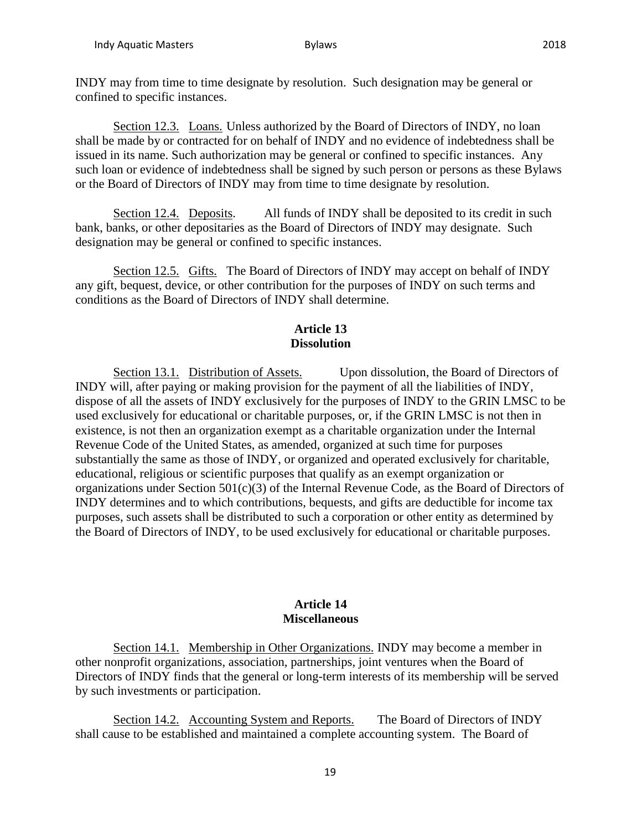Section 12.3. Loans. Unless authorized by the Board of Directors of INDY, no loan shall be made by or contracted for on behalf of INDY and no evidence of indebtedness shall be issued in its name. Such authorization may be general or confined to specific instances. Any such loan or evidence of indebtedness shall be signed by such person or persons as these Bylaws or the Board of Directors of INDY may from time to time designate by resolution.

Section 12.4. Deposits. All funds of INDY shall be deposited to its credit in such bank, banks, or other depositaries as the Board of Directors of INDY may designate. Such designation may be general or confined to specific instances.

Section 12.5. Gifts. The Board of Directors of INDY may accept on behalf of INDY any gift, bequest, device, or other contribution for the purposes of INDY on such terms and conditions as the Board of Directors of INDY shall determine.

## **Article 13 Dissolution**

Section 13.1. Distribution of Assets. Upon dissolution, the Board of Directors of INDY will, after paying or making provision for the payment of all the liabilities of INDY, dispose of all the assets of INDY exclusively for the purposes of INDY to the GRIN LMSC to be used exclusively for educational or charitable purposes, or, if the GRIN LMSC is not then in existence, is not then an organization exempt as a charitable organization under the Internal Revenue Code of the United States, as amended, organized at such time for purposes substantially the same as those of INDY, or organized and operated exclusively for charitable, educational, religious or scientific purposes that qualify as an exempt organization or organizations under Section 501(c)(3) of the Internal Revenue Code, as the Board of Directors of INDY determines and to which contributions, bequests, and gifts are deductible for income tax purposes, such assets shall be distributed to such a corporation or other entity as determined by the Board of Directors of INDY, to be used exclusively for educational or charitable purposes.

### **Article 14 Miscellaneous**

Section 14.1. Membership in Other Organizations. INDY may become a member in other nonprofit organizations, association, partnerships, joint ventures when the Board of Directors of INDY finds that the general or long-term interests of its membership will be served by such investments or participation.

Section 14.2. Accounting System and Reports. The Board of Directors of INDY shall cause to be established and maintained a complete accounting system. The Board of